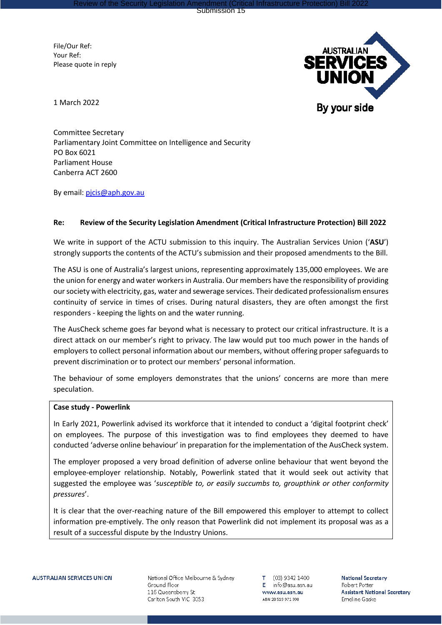Review of the Security Legislation Amendment (Critical Infrastructure Protection) Bill 2022 Submission 15

File/Our Ref: Your Ref: Please quote in reply



1 March 2022

Committee Secretary Parliamentary Joint Committee on Intelligence and Security PO Box 6021 Parliament House Canberra ACT 2600

By email: pjcis@aph.gov.au

## **Re: Review of the Security Legislation Amendment (Critical Infrastructure Protection) Bill 2022**

We write in support of the ACTU submission to this inquiry. The Australian Services Union ('**ASU**') strongly supports the contents of the ACTU's submission and their proposed amendments to the Bill.

The ASU is one of Australia's largest unions, representing approximately 135,000 employees. We are the union for energy and water workers in Australia. Our members have the responsibility of providing our society with electricity, gas, water and sewerage services. Their dedicated professionalism ensures continuity of service in times of crises. During natural disasters, they are often amongst the first responders - keeping the lights on and the water running.

The AusCheck scheme goes far beyond what is necessary to protect our critical infrastructure. It is a direct attack on our member's right to privacy. The law would put too much power in the hands of employers to collect personal information about our members, without offering proper safeguards to prevent discrimination or to protect our members' personal information.

The behaviour of some employers demonstrates that the unions' concerns are more than mere speculation.

## **Case study - Powerlink**

In Early 2021, Powerlink advised its workforce that it intended to conduct a 'digital footprint check' on employees. The purpose of this investigation was to find employees they deemed to have conducted 'adverse online behaviour' in preparation for the implementation of the AusCheck system.

The employer proposed a very broad definition of adverse online behaviour that went beyond the employee-employer relationship. Notably, Powerlink stated that it would seek out activity that suggested the employee was '*susceptible to, or easily succumbs to, groupthink or other conformity pressures*'.

It is clear that the over-reaching nature of the Bill empowered this employer to attempt to collect information pre-emptively. The only reason that Powerlink did not implement its proposal was as a result of a successful dispute by the Industry Unions.

National Office Melbourne & Sydney Ground Floor 116 Queensberry St Carlton South VIC 3053

(03) 9342 1400 Τ.  $E$  info@asu.asn.au www.asu.asn.au ABN 28519971998

**National Secretary** Robert Potter **Assistant National Secretary** Emeline Gaske